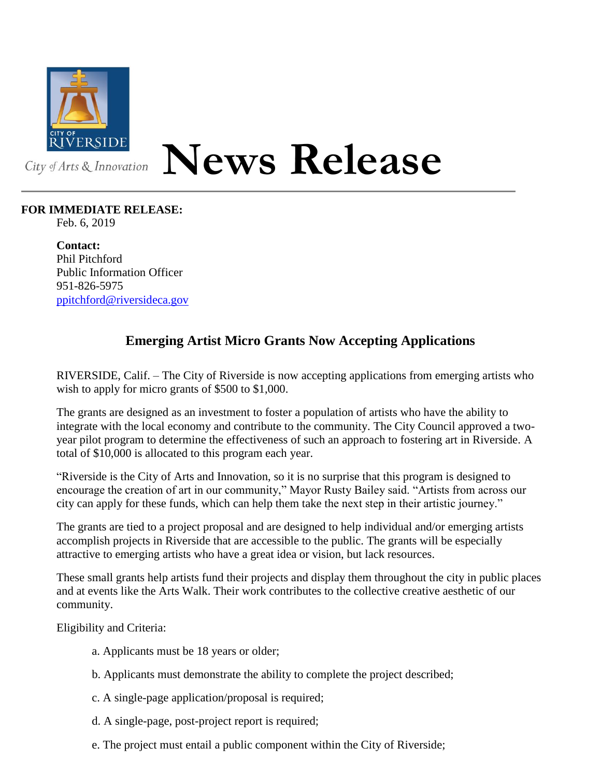

## **News Release**

## **FOR IMMEDIATE RELEASE:**

Feb. 6, 2019

**Contact:** Phil Pitchford Public Information Officer 951-826-5975 [ppitchford@riversideca.gov](mailto:ppitchford@riversideca.gov)

## **Emerging Artist Micro Grants Now Accepting Applications**

RIVERSIDE, Calif. – The City of Riverside is now accepting applications from emerging artists who wish to apply for micro grants of \$500 to \$1,000.

The grants are designed as an investment to foster a population of artists who have the ability to integrate with the local economy and contribute to the community. The City Council approved a twoyear pilot program to determine the effectiveness of such an approach to fostering art in Riverside. A total of \$10,000 is allocated to this program each year.

"Riverside is the City of Arts and Innovation, so it is no surprise that this program is designed to encourage the creation of art in our community," Mayor Rusty Bailey said. "Artists from across our city can apply for these funds, which can help them take the next step in their artistic journey."

The grants are tied to a project proposal and are designed to help individual and/or emerging artists accomplish projects in Riverside that are accessible to the public. The grants will be especially attractive to emerging artists who have a great idea or vision, but lack resources.

These small grants help artists fund their projects and display them throughout the city in public places and at events like the Arts Walk. Their work contributes to the collective creative aesthetic of our community.

Eligibility and Criteria:

- a. Applicants must be 18 years or older;
- b. Applicants must demonstrate the ability to complete the project described;
- c. A single-page application/proposal is required;
- d. A single-page, post-project report is required;
- e. The project must entail a public component within the City of Riverside;